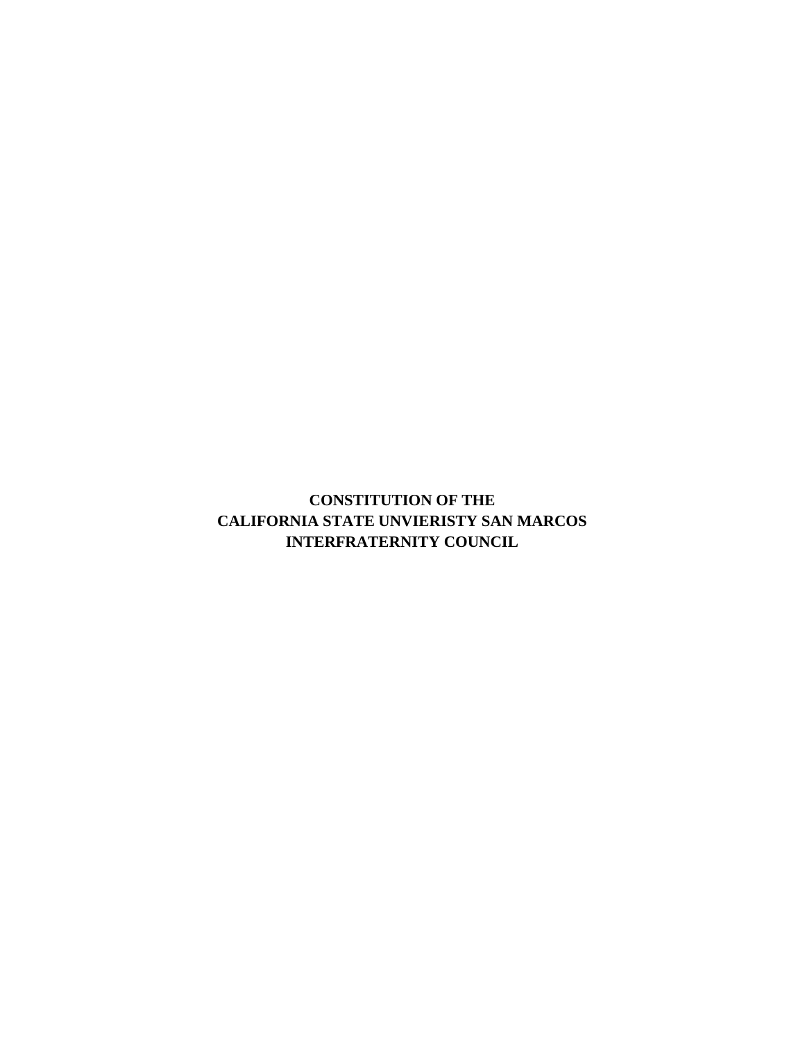# **CONSTITUTION OF THE CALIFORNIA STATE UNVIERISTY SAN MARCOS INTERFRATERNITY COUNCIL**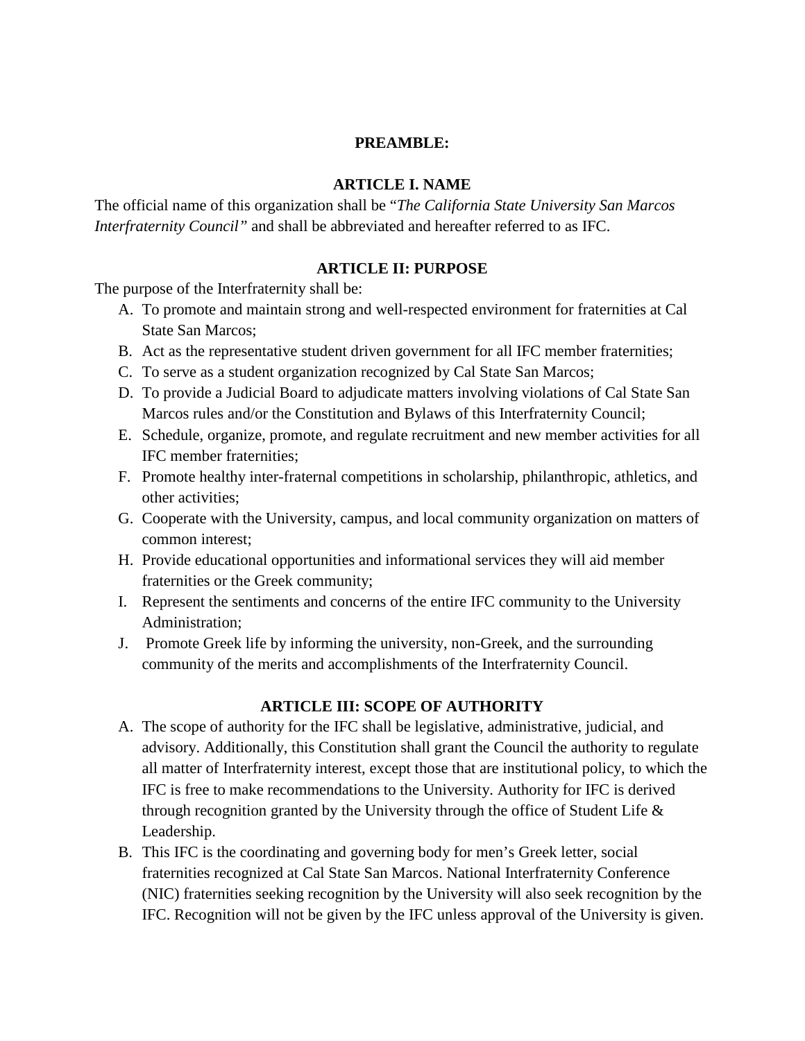#### **PREAMBLE:**

#### **ARTICLE I. NAME**

The official name of this organization shall be "*The California State University San Marcos Interfraternity Council"* and shall be abbreviated and hereafter referred to as IFC.

#### **ARTICLE II: PURPOSE**

The purpose of the Interfraternity shall be:

- A. To promote and maintain strong and well-respected environment for fraternities at Cal State San Marcos;
- B. Act as the representative student driven government for all IFC member fraternities;
- C. To serve as a student organization recognized by Cal State San Marcos;
- D. To provide a Judicial Board to adjudicate matters involving violations of Cal State San Marcos rules and/or the Constitution and Bylaws of this Interfraternity Council;
- E. Schedule, organize, promote, and regulate recruitment and new member activities for all IFC member fraternities;
- F. Promote healthy inter-fraternal competitions in scholarship, philanthropic, athletics, and other activities;
- G. Cooperate with the University, campus, and local community organization on matters of common interest;
- H. Provide educational opportunities and informational services they will aid member fraternities or the Greek community;
- I. Represent the sentiments and concerns of the entire IFC community to the University Administration;
- J. Promote Greek life by informing the university, non-Greek, and the surrounding community of the merits and accomplishments of the Interfraternity Council.

#### **ARTICLE III: SCOPE OF AUTHORITY**

- A. The scope of authority for the IFC shall be legislative, administrative, judicial, and advisory. Additionally, this Constitution shall grant the Council the authority to regulate all matter of Interfraternity interest, except those that are institutional policy, to which the IFC is free to make recommendations to the University. Authority for IFC is derived through recognition granted by the University through the office of Student Life & Leadership.
- B. This IFC is the coordinating and governing body for men's Greek letter, social fraternities recognized at Cal State San Marcos. National Interfraternity Conference (NIC) fraternities seeking recognition by the University will also seek recognition by the IFC. Recognition will not be given by the IFC unless approval of the University is given.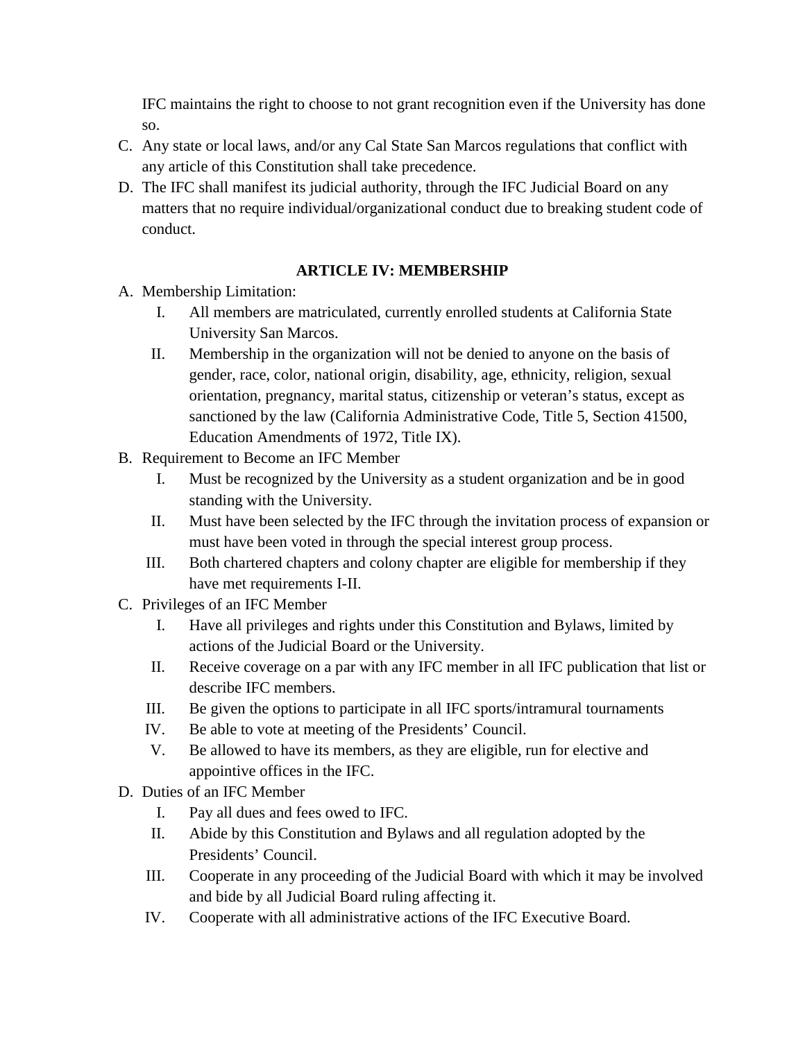IFC maintains the right to choose to not grant recognition even if the University has done so.

- C. Any state or local laws, and/or any Cal State San Marcos regulations that conflict with any article of this Constitution shall take precedence.
- D. The IFC shall manifest its judicial authority, through the IFC Judicial Board on any matters that no require individual/organizational conduct due to breaking student code of conduct.

### **ARTICLE IV: MEMBERSHIP**

- A. Membership Limitation:
	- I. All members are matriculated, currently enrolled students at California State University San Marcos.
	- II. Membership in the organization will not be denied to anyone on the basis of gender, race, color, national origin, disability, age, ethnicity, religion, sexual orientation, pregnancy, marital status, citizenship or veteran's status, except as sanctioned by the law (California Administrative Code, Title 5, Section 41500, Education Amendments of 1972, Title IX).
- B. Requirement to Become an IFC Member
	- I. Must be recognized by the University as a student organization and be in good standing with the University.
	- II. Must have been selected by the IFC through the invitation process of expansion or must have been voted in through the special interest group process.
	- III. Both chartered chapters and colony chapter are eligible for membership if they have met requirements I-II.
- C. Privileges of an IFC Member
	- I. Have all privileges and rights under this Constitution and Bylaws, limited by actions of the Judicial Board or the University.
	- II. Receive coverage on a par with any IFC member in all IFC publication that list or describe IFC members.
	- III. Be given the options to participate in all IFC sports/intramural tournaments
	- IV. Be able to vote at meeting of the Presidents' Council.
	- V. Be allowed to have its members, as they are eligible, run for elective and appointive offices in the IFC.
- D. Duties of an IFC Member
	- I. Pay all dues and fees owed to IFC.
	- II. Abide by this Constitution and Bylaws and all regulation adopted by the Presidents' Council.
	- III. Cooperate in any proceeding of the Judicial Board with which it may be involved and bide by all Judicial Board ruling affecting it.
	- IV. Cooperate with all administrative actions of the IFC Executive Board.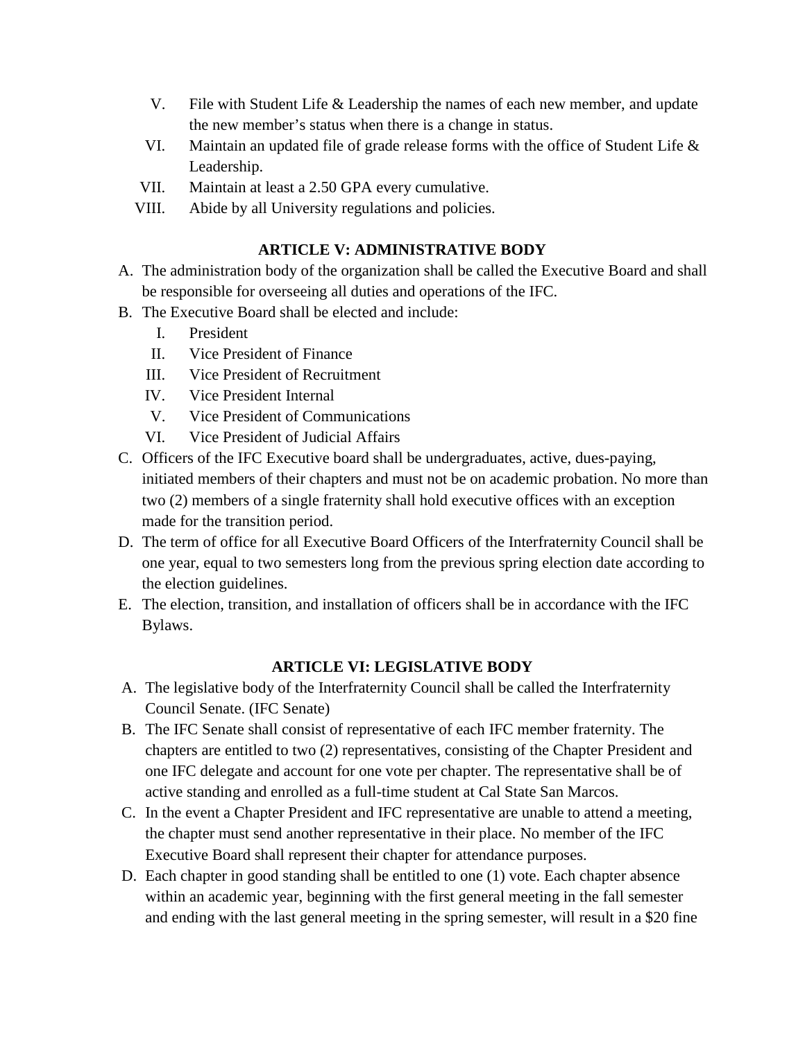- V. File with Student Life & Leadership the names of each new member, and update the new member's status when there is a change in status.
- VI. Maintain an updated file of grade release forms with the office of Student Life & Leadership.
- VII. Maintain at least a 2.50 GPA every cumulative.
- VIII. Abide by all University regulations and policies.

## **ARTICLE V: ADMINISTRATIVE BODY**

- A. The administration body of the organization shall be called the Executive Board and shall be responsible for overseeing all duties and operations of the IFC.
- B. The Executive Board shall be elected and include:
	- I. President
	- II. Vice President of Finance
	- III. Vice President of Recruitment
	- IV. Vice President Internal
	- V. Vice President of Communications
	- VI. Vice President of Judicial Affairs
- C. Officers of the IFC Executive board shall be undergraduates, active, dues-paying, initiated members of their chapters and must not be on academic probation. No more than two (2) members of a single fraternity shall hold executive offices with an exception made for the transition period.
- D. The term of office for all Executive Board Officers of the Interfraternity Council shall be one year, equal to two semesters long from the previous spring election date according to the election guidelines.
- E. The election, transition, and installation of officers shall be in accordance with the IFC Bylaws.

## **ARTICLE VI: LEGISLATIVE BODY**

- A. The legislative body of the Interfraternity Council shall be called the Interfraternity Council Senate. (IFC Senate)
- B. The IFC Senate shall consist of representative of each IFC member fraternity. The chapters are entitled to two (2) representatives, consisting of the Chapter President and one IFC delegate and account for one vote per chapter. The representative shall be of active standing and enrolled as a full-time student at Cal State San Marcos.
- C. In the event a Chapter President and IFC representative are unable to attend a meeting, the chapter must send another representative in their place. No member of the IFC Executive Board shall represent their chapter for attendance purposes.
- D. Each chapter in good standing shall be entitled to one (1) vote. Each chapter absence within an academic year, beginning with the first general meeting in the fall semester and ending with the last general meeting in the spring semester, will result in a \$20 fine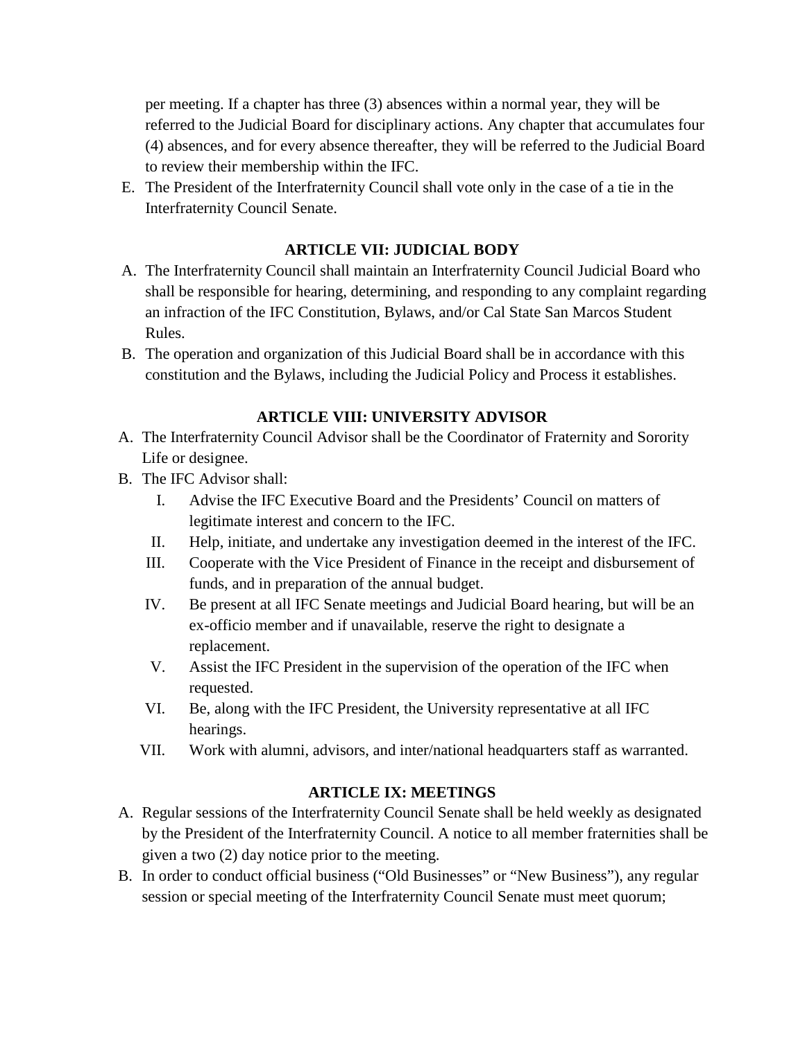per meeting. If a chapter has three (3) absences within a normal year, they will be referred to the Judicial Board for disciplinary actions. Any chapter that accumulates four (4) absences, and for every absence thereafter, they will be referred to the Judicial Board to review their membership within the IFC.

E. The President of the Interfraternity Council shall vote only in the case of a tie in the Interfraternity Council Senate.

### **ARTICLE VII: JUDICIAL BODY**

- A. The Interfraternity Council shall maintain an Interfraternity Council Judicial Board who shall be responsible for hearing, determining, and responding to any complaint regarding an infraction of the IFC Constitution, Bylaws, and/or Cal State San Marcos Student Rules.
- B. The operation and organization of this Judicial Board shall be in accordance with this constitution and the Bylaws, including the Judicial Policy and Process it establishes.

### **ARTICLE VIII: UNIVERSITY ADVISOR**

- A. The Interfraternity Council Advisor shall be the Coordinator of Fraternity and Sorority Life or designee.
- B. The IFC Advisor shall:
	- I. Advise the IFC Executive Board and the Presidents' Council on matters of legitimate interest and concern to the IFC.
	- II. Help, initiate, and undertake any investigation deemed in the interest of the IFC.
	- III. Cooperate with the Vice President of Finance in the receipt and disbursement of funds, and in preparation of the annual budget.
	- IV. Be present at all IFC Senate meetings and Judicial Board hearing, but will be an ex-officio member and if unavailable, reserve the right to designate a replacement.
	- V. Assist the IFC President in the supervision of the operation of the IFC when requested.
	- VI. Be, along with the IFC President, the University representative at all IFC hearings.
	- VII. Work with alumni, advisors, and inter/national headquarters staff as warranted.

## **ARTICLE IX: MEETINGS**

- A. Regular sessions of the Interfraternity Council Senate shall be held weekly as designated by the President of the Interfraternity Council. A notice to all member fraternities shall be given a two (2) day notice prior to the meeting.
- B. In order to conduct official business ("Old Businesses" or "New Business"), any regular session or special meeting of the Interfraternity Council Senate must meet quorum;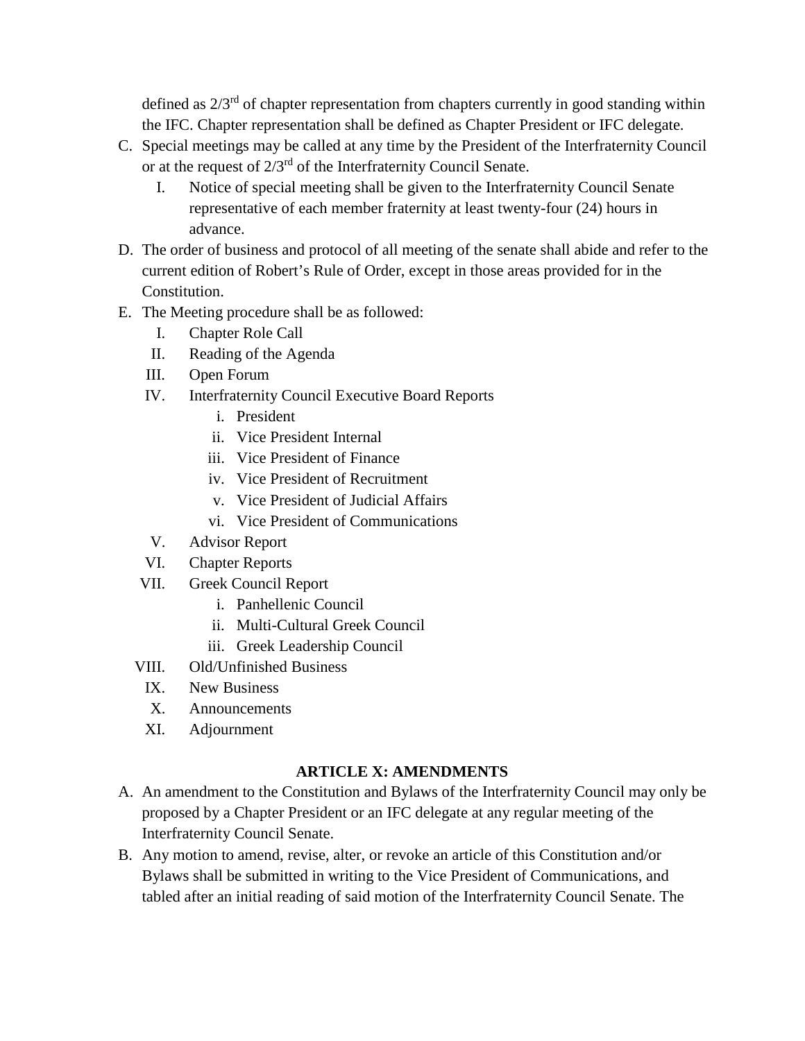defined as  $2/3<sup>rd</sup>$  of chapter representation from chapters currently in good standing within the IFC. Chapter representation shall be defined as Chapter President or IFC delegate.

- C. Special meetings may be called at any time by the President of the Interfraternity Council or at the request of 2/3rd of the Interfraternity Council Senate.
	- I. Notice of special meeting shall be given to the Interfraternity Council Senate representative of each member fraternity at least twenty-four (24) hours in advance.
- D. The order of business and protocol of all meeting of the senate shall abide and refer to the current edition of Robert's Rule of Order, except in those areas provided for in the Constitution.
- E. The Meeting procedure shall be as followed:
	- I. Chapter Role Call
	- II. Reading of the Agenda
	- III. Open Forum
	- IV. Interfraternity Council Executive Board Reports
		- i. President
		- ii. Vice President Internal
		- iii. Vice President of Finance
		- iv. Vice President of Recruitment
		- v. Vice President of Judicial Affairs
		- vi. Vice President of Communications
	- V. Advisor Report
	- VI. Chapter Reports
	- VII. Greek Council Report
		- i. Panhellenic Council
		- ii. Multi-Cultural Greek Council
		- iii. Greek Leadership Council
	- VIII. Old/Unfinished Business
		- IX. New Business
		- X. Announcements
		- XI. Adjournment

### **ARTICLE X: AMENDMENTS**

- A. An amendment to the Constitution and Bylaws of the Interfraternity Council may only be proposed by a Chapter President or an IFC delegate at any regular meeting of the Interfraternity Council Senate.
- B. Any motion to amend, revise, alter, or revoke an article of this Constitution and/or Bylaws shall be submitted in writing to the Vice President of Communications, and tabled after an initial reading of said motion of the Interfraternity Council Senate. The